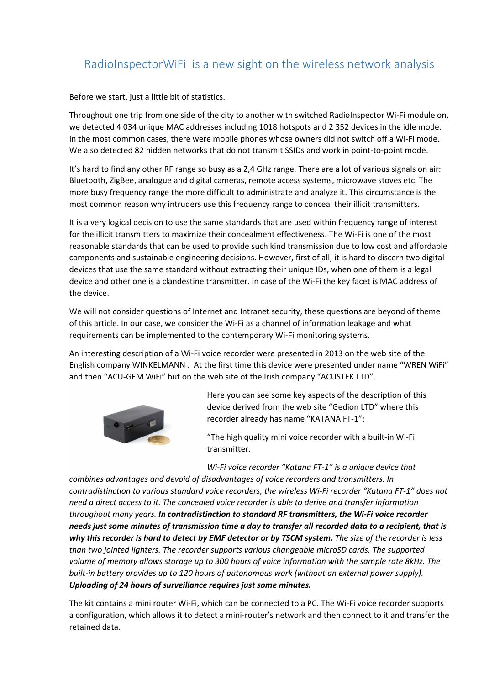## RadioInspectorWiFi is a new sight on the wireless network analysis

Before we start, just a little bit of statistics.

Throughout one trip from one side of the city to another with switched RadioInspector Wi-Fi module on, we detected 4 034 unique MAC addresses including 1018 hotspots and 2 352 devices in the idle mode. In the most common cases, there were mobile phones whose owners did not switch off a Wi-Fi mode. We also detected 82 hidden networks that do not transmit SSIDs and work in point-to-point mode.

It's hard to find any other RF range so busy as a 2,4 GHz range. There are a lot of various signals on air: Bluetooth, ZigBee, analogue and digital cameras, remote access systems, microwave stoves etc. The more busy frequency range the more difficult to administrate and analyze it. This circumstance is the most common reason why intruders use this frequency range to conceal their illicit transmitters.

It is a very logical decision to use the same standards that are used within frequency range of interest for the illicit transmitters to maximize their concealment effectiveness. The Wi-Fi is one of the most reasonable standards that can be used to provide such kind transmission due to low cost and affordable components and sustainable engineering decisions. However, first of all, it is hard to discern two digital devices that use the same standard without extracting their unique IDs, when one of them is a legal device and other one is a clandestine transmitter. In case of the Wi-Fi the key facet is MAC address of the device.

We will not consider questions of Internet and Intranet security, these questions are beyond of theme of this article. In our case, we consider the Wi-Fi as a channel of information leakage and what requirements can be implemented to the contemporary Wi-Fi monitoring systems.

An interesting description of a Wi-Fi voice recorder were presented in 2013 on the web site of the English company WINKELMANN . At the first time this device were presented under name "WREN WiFi" and then "ACU-GEM WiFi" but on the web site of the Irish company "ACUSTEK LTD".



Here you can see some key aspects of the description of this device derived from the web site "Gedion LTD" where this recorder already has name "KATANA FT-1":

"The high quality mini voice recorder with a built-in Wi-Fi transmitter.

Wi-Fi voice recorder "Katana FT-1" is a unique device that

combines advantages and devoid of disadvantages of voice recorders and transmitters. In contradistinction to various standard voice recorders, the wireless Wi-Fi recorder "Katana FT-1" does not need a direct access to it. The concealed voice recorder is able to derive and transfer information throughout many years. In contradistinction to standard RF transmitters, the Wi-Fi voice recorder needs just some minutes of transmission time a day to transfer all recorded data to a recipient, that is why this recorder is hard to detect by EMF detector or by TSCM system. The size of the recorder is less than two jointed lighters. The recorder supports various changeable microSD cards. The supported volume of memory allows storage up to 300 hours of voice information with the sample rate 8kHz. The built-in battery provides up to 120 hours of autonomous work (without an external power supply). Uploading of 24 hours of surveillance requires just some minutes.

The kit contains a mini router Wi-Fi, which can be connected to a PC. The Wi-Fi voice recorder supports a configuration, which allows it to detect a mini-router's network and then connect to it and transfer the retained data.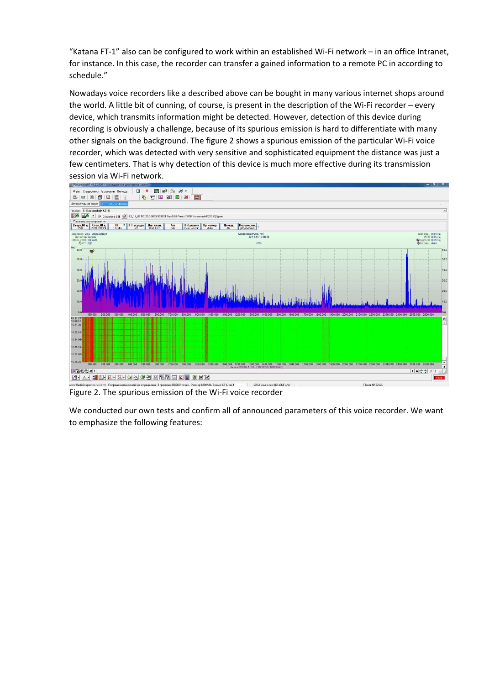"Katana FT-1" also can be configured to work within an established Wi-Fi network – in an office Intranet, for instance. In this case, the recorder can transfer a gained information to a remote PC in according to schedule."

Nowadays voice recorders like a described above can be bought in many various internet shops around the world. A little bit of cunning, of course, is present in the description of the Wi-Fi recorder – every device, which transmits information might be detected. However, detection of this device during recording is obviously a challenge, because of its spurious emission is hard to differentiate with many other signals on the background. The figure 2 shows a spurious emission of the particular Wi-Fi voice recorder, which was detected with very sensitive and sophisticated equipment the distance was just a few centimeters. That is why detection of this device is much more effective during its transmission session via Wi-Fi network.



Figure 2. The spurious emission of the Wi-Fi voice recorder

We conducted our own tests and confirm all of announced parameters of this voice recorder. We want to emphasize the following features: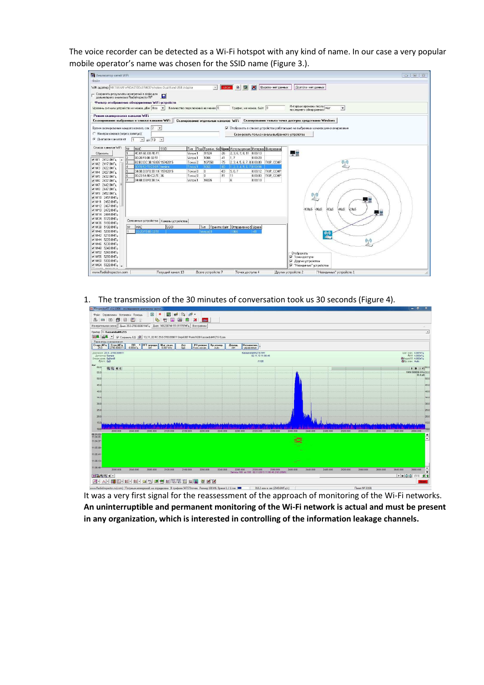The voice recorder can be detected as a Wi-Fi hotspot with any kind of name. In our case a very popular mobile operator's name was chosen for the SSID name (Figure 3.).

| <b>AHANMSATOP CETEЙ WIFI</b>                                                                                                                                                                       |                                                                 |                           |                                          |                                                |               |       |                                                 |         |                    | $\Box$ $\Box$                                  |
|----------------------------------------------------------------------------------------------------------------------------------------------------------------------------------------------------|-----------------------------------------------------------------|---------------------------|------------------------------------------|------------------------------------------------|---------------|-------|-------------------------------------------------|---------|--------------------|------------------------------------------------|
| Файл                                                                                                                                                                                               |                                                                 |                           |                                          |                                                |               |       |                                                 |         |                    |                                                |
|                                                                                                                                                                                                    |                                                                 |                           |                                          |                                                |               |       |                                                 |         |                    |                                                |
| $\mathbf{\mathbf{R}}$<br>WFi agarrep NETGEAR WNDA3100v2 N600 Wireless Dual Band USB Adapter<br>Широта - нет данных<br><b>B</b><br>$\infty$<br>Долгота - нет данных<br>$\mathcal{A}$<br><b>STOP</b> |                                                                 |                           |                                          |                                                |               |       |                                                 |         |                    |                                                |
| Сохранять результаты измерений в файл для<br>дальнейшего анализа в RadioInspector RP<br>$\blacksquare$                                                                                             |                                                                 |                           |                                          |                                                |               |       |                                                 |         |                    |                                                |
| Фильтр отображения обнаруженных WiFi устройств                                                                                                                                                     |                                                                 |                           |                                          |                                                |               |       |                                                 |         |                    |                                                |
| Интервал времени после   Нет<br>последнего обнаружения   Нет<br>Количество подключений не менее 0<br>Трафик, не менее, байт 0<br>Уровень сигнала устройств не менее, дБм  Все →<br>$\mathbf{r}$    |                                                                 |                           |                                          |                                                |               |       |                                                 |         |                    |                                                |
| Режим сканирования каналов WiFi                                                                                                                                                                    |                                                                 |                           |                                          |                                                |               |       |                                                 |         |                    |                                                |
| Сканирование выбранных в списке каналов WiFi<br>Сканирование отдельных каналов WiFi  Сканирование только точек доступа средствами Windows                                                          |                                                                 |                           |                                          |                                                |               |       |                                                 |         |                    |                                                |
| Время сканирования каждого канала, сек. 2 -<br>• Отображать в списке устройства работающие на выбранных каналах для сканирования                                                                   |                                                                 |                           |                                          |                                                |               |       |                                                 |         |                    |                                                |
| С Номера каналов (через запятчю).                                                                                                                                                                  |                                                                 |                           |                                          |                                                |               |       | Сканировать только каналы выбранного четройства |         |                    |                                                |
| • Диапазон каналов от<br>$\bullet$ 40 13 $\bullet$                                                                                                                                                 |                                                                 |                           |                                          |                                                |               |       |                                                 |         |                    |                                                |
| Список каналов WFI<br>Подн Трафик, бай Уров Используемые Интервал Шифровани                                                                                                                        |                                                                 |                           |                                          |                                                |               |       |                                                 |         |                    |                                                |
|                                                                                                                                                                                                    | N <sup>2</sup>                                                  | MAC.<br>4C:DF:GE:EB:FE:F1 | <b>SSID</b>                              | Тип                                            |               | $-26$ |                                                 |         |                    |                                                |
| Сбросить                                                                                                                                                                                           |                                                                 | 00:20:F0:0B:32:51         |                                          | <b>Ycrpo 1</b><br><b><i><u>Ucrpo 1</u></i></b> | 91524<br>1066 | $-41$ | 2, 3, 6, 7, 8, 11 0:00:13<br>1.7                | 0:00:23 |                    | 一部                                             |
| V Nº1 2412.0MFu<br>$\lambda$                                                                                                                                                                       | 2<br>3                                                          |                           | B2:B2:DC:3B:1B:EE19742015                | Точка 2                                        | 107550        | $-75$ | 2, 3, 4, 5, 6, 7, 8, 0:00:09 TKIP, CCMP         |         |                    |                                                |
| V Nº2 2417.0MFu                                                                                                                                                                                    | $\sqrt{4}$                                                      |                           | 90:F6:52:70:E9:B5 beeline                | Toyka <sup>1</sup>                             | 1066          | $-80$ | 1, 2, 3, 4, 5, 6, 7, 00004                      |         |                    | $\overset{\text{\tiny{(}}\bullet \bullet)}{=}$ |
| V N#3 2422.0MFu                                                                                                                                                                                    |                                                                 |                           | 34:6B:D3:F0:3B:18 19742015               | Точка 0                                        | $\theta$      | $-83$ | 5.6.7                                           |         | 0:00:12 TKIP.CCMP  |                                                |
| M Nº4 2427.0MFu                                                                                                                                                                                    | $\sqrt{5}$                                                      | 00:23:54:9D:C2.7E 3G      |                                          | Точка О                                        | $\theta$      | $-91$ | 11                                              |         | 0.00.03 TKIP, CCMP |                                                |
| V Nº5 2432.0MFu<br>V Nº6 2437.0MFu                                                                                                                                                                 |                                                                 | 34:6B:D3:F0:3B:1A         |                                          | <b>Ycrpo 1</b>                                 | 16026         |       | $\ddot{\mathbf{g}}$                             | 0:00:13 |                    |                                                |
| V Nº7 2442.0MFu                                                                                                                                                                                    |                                                                 |                           |                                          |                                                |               |       |                                                 |         |                    |                                                |
| V N=8 2447.0MFu<br>V Nº9 2452.0MFu<br>$(\mathfrak{a}_1\mathfrak{d})$<br>V Nº10 2457.0MFu                                                                                                           |                                                                 |                           |                                          |                                                |               |       |                                                 |         |                    |                                                |
|                                                                                                                                                                                                    |                                                                 |                           |                                          |                                                |               |       |                                                 |         |                    |                                                |
| V N#11 2462.0MFu<br>₩12 2467.0MFu                                                                                                                                                                  |                                                                 |                           |                                          |                                                |               |       |                                                 |         |                    |                                                |
| ■ N=13 2472.0MFu                                                                                                                                                                                   |                                                                 |                           |                                          |                                                |               |       |                                                 |         |                    | $100a5$ 80 $a5$<br>60g5<br>40a5<br>20дБ        |
| V Nº14 2484.0MFu                                                                                                                                                                                   |                                                                 |                           |                                          |                                                |               |       |                                                 |         |                    |                                                |
| V Nº34 5170.0MFu                                                                                                                                                                                   |                                                                 |                           | Связанные устройства   Каналы устройства |                                                |               |       |                                                 |         |                    |                                                |
| V Nº36 5180.0MFu                                                                                                                                                                                   |                                                                 |                           |                                          |                                                |               |       |                                                 |         |                    |                                                |
| MAC<br>Принято байт Отправленно б Урове<br>N=<br><b>SSID</b><br>Tun<br>V Nº38 5190.0MFu                                                                                                            |                                                                 |                           |                                          |                                                |               |       |                                                 |         |                    |                                                |
|                                                                                                                                                                                                    | V Nº40 5200.0MFu<br>13:20 FO 08:32:51<br>1866<br>Uctool 0<br>44 |                           |                                          |                                                |               |       |                                                 |         |                    | $\frac{1}{2}$                                  |
| V Nº44 5220.0MFu                                                                                                                                                                                   | V Nº42 5210.0MFu                                                |                           |                                          |                                                |               |       |                                                 |         |                    | $(\mathbb{C}_1 \mathbb{O})$                    |
| ₩46 5230.0MFu                                                                                                                                                                                      |                                                                 |                           |                                          |                                                |               |       |                                                 |         |                    |                                                |
| V Nº48 5240.0MFu                                                                                                                                                                                   |                                                                 |                           |                                          |                                                |               |       |                                                 |         |                    |                                                |
| V Nº52 5260.0MFu                                                                                                                                                                                   |                                                                 |                           |                                          |                                                |               |       |                                                 |         |                    | Отображать                                     |
| V Nº56 5280.0MFu                                                                                                                                                                                   |                                                                 |                           |                                          |                                                |               |       |                                                 |         |                    | ⊽ Точки достчла                                |
| V N=60 5300.0MFu                                                                                                                                                                                   |                                                                 |                           |                                          |                                                |               |       |                                                 |         |                    | √ Дрчгие чстройства                            |
| V N=64 5320.0MFu -<br>THURSD PEAR ALL                                                                                                                                                              |                                                                 |                           |                                          |                                                |               |       |                                                 |         |                    | √ "Невидимые" чстройства                       |
| Текущий канал: 13<br>Всего устройств: 7<br>Точек доступа: 4<br>"Невидимых" устройств: 1<br>www.RadioInspector.com<br>Других устройств: 2                                                           |                                                                 |                           |                                          |                                                |               |       |                                                 |         |                    |                                                |

1. The transmission of the 30 minutes of conversation took us 30 seconds (Figure 4).



It was a very first signal for the reassessment of the approach of monitoring of the Wi-Fi networks. An uninterruptible and permanent monitoring of the Wi-Fi network is actual and must be present in any organization, which is interested in controlling of the information leakage channels.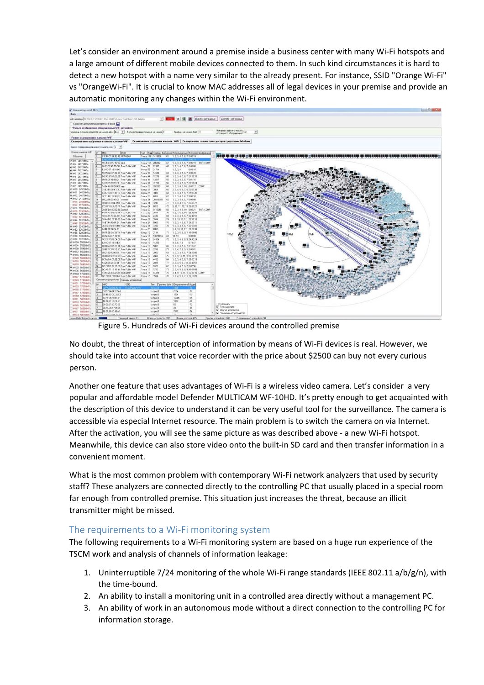Let's consider an environment around a premise inside a business center with many Wi-Fi hotspots and a large amount of different mobile devices connected to them. In such kind circumstances it is hard to detect a new hotspot with a name very similar to the already present. For instance, SSID "Orange Wi-Fi" vs "OrangeWi-Fi". It is crucial to know MAC addresses all of legal devices in your premise and provide an automatic monitoring any changes within the Wi-Fi environment.



Figure 5. Hundreds of Wi-Fi devices around the controlled premise

No doubt, the threat of interception of information by means of Wi-Fi devices is real. However, we should take into account that voice recorder with the price about \$2500 can buy not every curious person.

Another one feature that uses advantages of Wi-Fi is a wireless video camera. Let's consider a very popular and affordable model Defender MULTICAM WF-10HD. It's pretty enough to get acquainted with the description of this device to understand it can be very useful tool for the surveillance. The camera is accessible via especial Internet resource. The main problem is to switch the camera on via Internet. After the activation, you will see the same picture as was described above - a new Wi-Fi hotspot. Meanwhile, this device can also store video onto the built-in SD card and then transfer information in a convenient moment.

What is the most common problem with contemporary Wi-Fi network analyzers that used by security staff? These analyzers are connected directly to the controlling PC that usually placed in a special room far enough from controlled premise. This situation just increases the threat, because an illicit transmitter might be missed.

## The requirements to a Wi-Fi monitoring system

The following requirements to a Wi-Fi monitoring system are based on a huge run experience of the TSCM work and analysis of channels of information leakage:

- 1. Uninterruptible 7/24 monitoring of the whole Wi-Fi range standards (IEEE 802.11 a/b/g/n), with the time-bound.
- 2. An ability to install a monitoring unit in a controlled area directly without a management PC.
- 3. An ability of work in an autonomous mode without a direct connection to the controlling PC for information storage.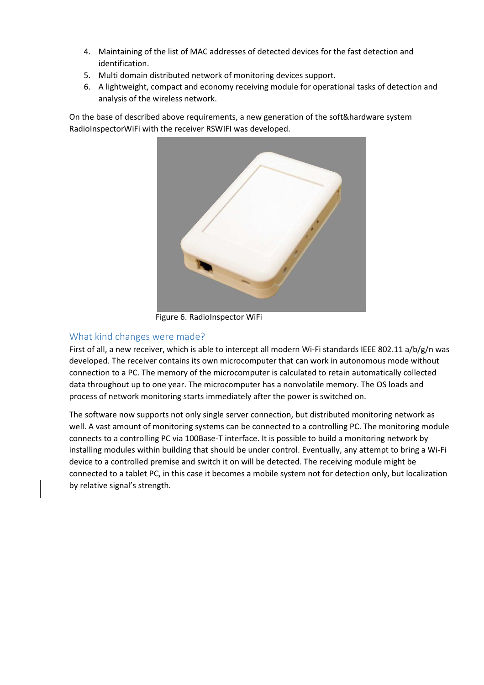- 4. Maintaining of the list of MAC addresses of detected devices for the fast detection and identification.
- 5. Multi domain distributed network of monitoring devices support.
- 6. A lightweight, compact and economy receiving module for operational tasks of detection and analysis of the wireless network.

On the base of described above requirements, a new generation of the soft&hardware system RadioInspectorWiFi with the receiver RSWIFI was developed.



Figure 6. RadioInspector WiFi

## What kind changes were made?

First of all, a new receiver, which is able to intercept all modern Wi-Fi standards IEEE 802.11 a/b/g/n was developed. The receiver contains its own microcomputer that can work in autonomous mode without connection to a PC. The memory of the microcomputer is calculated to retain automatically collected data throughout up to one year. The microcomputer has a nonvolatile memory. The OS loads and process of network monitoring starts immediately after the power is switched on.

The software now supports not only single server connection, but distributed monitoring network as well. A vast amount of monitoring systems can be connected to a controlling PC. The monitoring module connects to a controlling PC via 100Base-T interface. It is possible to build a monitoring network by installing modules within building that should be under control. Eventually, any attempt to bring a Wi-Fi device to a controlled premise and switch it on will be detected. The receiving module might be connected to a tablet PC, in this case it becomes a mobile system not for detection only, but localization by relative signal's strength.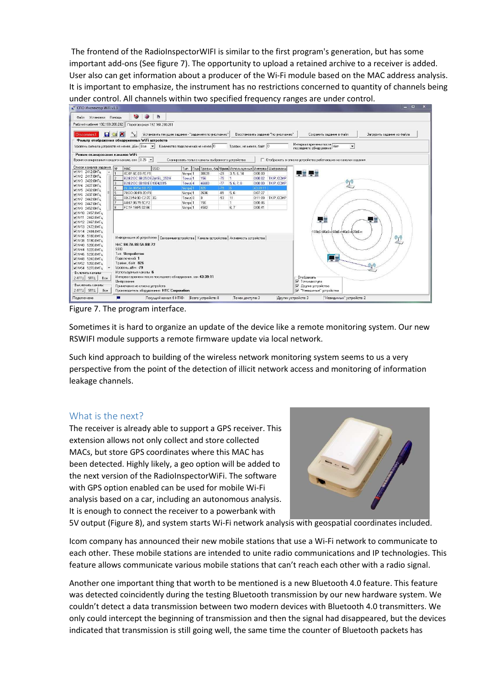The frontend of the RadioInspectorWIFI is similar to the first program's generation, but has some important add-ons (See figure 7). The opportunity to upload a retained archive to a receiver is added. User also can get information about a producer of the Wi-Fi module based on the MAC address analysis. It is important to emphasize, the instrument has no restrictions concerned to quantity of channels being under control. All channels within two specified frequency ranges are under control.



Figure 7. The program interface.

Sometimes it is hard to organize an update of the device like a remote monitoring system. Our new RSWIFI module supports a remote firmware update via local network.

Such kind approach to building of the wireless network monitoring system seems to us a very perspective from the point of the detection of illicit network access and monitoring of information leakage channels.

## What is the next?

The receiver is already able to support a GPS receiver. This extension allows not only collect and store collected MACs, but store GPS coordinates where this MAC has been detected. Highly likely, a geo option will be added to the next version of the RadioInspectorWiFi. The software with GPS option enabled can be used for mobile Wi-Fi analysis based on a car, including an autonomous analysis. It is enough to connect the receiver to a powerbank with



5V output (Figure 8), and system starts Wi-Fi network analysis with geospatial coordinates included.

Icom company has announced their new mobile stations that use a Wi-Fi network to communicate to each other. These mobile stations are intended to unite radio communications and IP technologies. This feature allows communicate various mobile stations that can't reach each other with a radio signal.

Another one important thing that worth to be mentioned is a new Bluetooth 4.0 feature. This feature was detected coincidently during the testing Bluetooth transmission by our new hardware system. We couldn't detect a data transmission between two modern devices with Bluetooth 4.0 transmitters. We only could intercept the beginning of transmission and then the signal had disappeared, but the devices indicated that transmission is still going well, the same time the counter of Bluetooth packets has